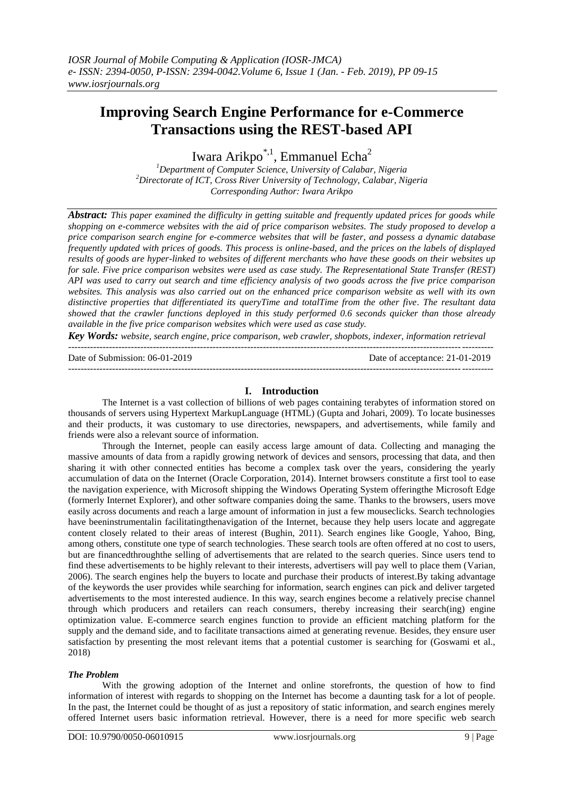# **Improving Search Engine Performance for e-Commerce Transactions using the REST-based API**

Iwara Arikpo<sup>\*,1</sup>, Emmanuel Echa<sup>2</sup>

*<sup>1</sup>Department of Computer Science, University of Calabar, Nigeria <sup>2</sup>Directorate of ICT, Cross River University of Technology, Calabar, Nigeria Corresponding Author: Iwara Arikpo*

*Abstract: This paper examined the difficulty in getting suitable and frequently updated prices for goods while shopping on e-commerce websites with the aid of price comparison websites. The study proposed to develop a price comparison search engine for e-commerce websites that will be faster, and possess a dynamic database frequently updated with prices of goods. This process is online-based, and the prices on the labels of displayed results of goods are hyper-linked to websites of different merchants who have these goods on their websites up for sale. Five price comparison websites were used as case study. The Representational State Transfer (REST) API was used to carry out search and time efficiency analysis of two goods across the five price comparison websites. This analysis was also carried out on the enhanced price comparison website as well with its own distinctive properties that differentiated its queryTime and totalTime from the other five. The resultant data showed that the crawler functions deployed in this study performed 0.6 seconds quicker than those already available in the five price comparison websites which were used as case study.*

*Key Words: website, search engine, price comparison, web crawler, shopbots, indexer, information retrieval* ---------------------------------------------------------------------------------------------------------------------------------------

Date of Submission: 06-01-2019 Date of acceptance: 21-01-2019

#### **I. Introduction**

---------------------------------------------------------------------------------------------------------------------------------------

The Internet is a vast collection of billions of web pages containing terabytes of information stored on thousands of servers using Hypertext MarkupLanguage (HTML) (Gupta and Johari, 2009). To locate businesses and their products, it was customary to use directories, newspapers, and advertisements, while family and friends were also a relevant source of information.

Through the Internet, people can easily access large amount of data. Collecting and managing the massive amounts of data from a rapidly growing network of devices and sensors, processing that data, and then sharing it with other connected entities has become a complex task over the years, considering the yearly accumulation of data on the Internet (Oracle Corporation, 2014). Internet browsers constitute a first tool to ease the navigation experience, with Microsoft shipping the Windows Operating System offeringthe Microsoft Edge (formerly Internet Explorer), and other software companies doing the same. Thanks to the browsers, users move easily across documents and reach a large amount of information in just a few mouseclicks. Search technologies have beeninstrumentalin facilitatingthenavigation of the Internet, because they help users locate and aggregate content closely related to their areas of interest (Bughin, 2011). Search engines like Google, Yahoo, Bing, among others, constitute one type of search technologies. These search tools are often offered at no cost to users, but are financedthroughthe selling of advertisements that are related to the search queries. Since users tend to find these advertisements to be highly relevant to their interests, advertisers will pay well to place them (Varian, 2006). The search engines help the buyers to locate and purchase their products of interest.By taking advantage of the keywords the user provides while searching for information, search engines can pick and deliver targeted advertisements to the most interested audience. In this way, search engines become a relatively precise channel through which producers and retailers can reach consumers, thereby increasing their search(ing) engine optimization value. E-commerce search engines function to provide an efficient matching platform for the supply and the demand side, and to facilitate transactions aimed at generating revenue. Besides, they ensure user satisfaction by presenting the most relevant items that a potential customer is searching for (Goswami et al., 2018)

#### *The Problem*

With the growing adoption of the Internet and online storefronts, the question of how to find information of interest with regards to shopping on the Internet has become a daunting task for a lot of people. In the past, the Internet could be thought of as just a repository of static information, and search engines merely offered Internet users basic information retrieval. However, there is a need for more specific web search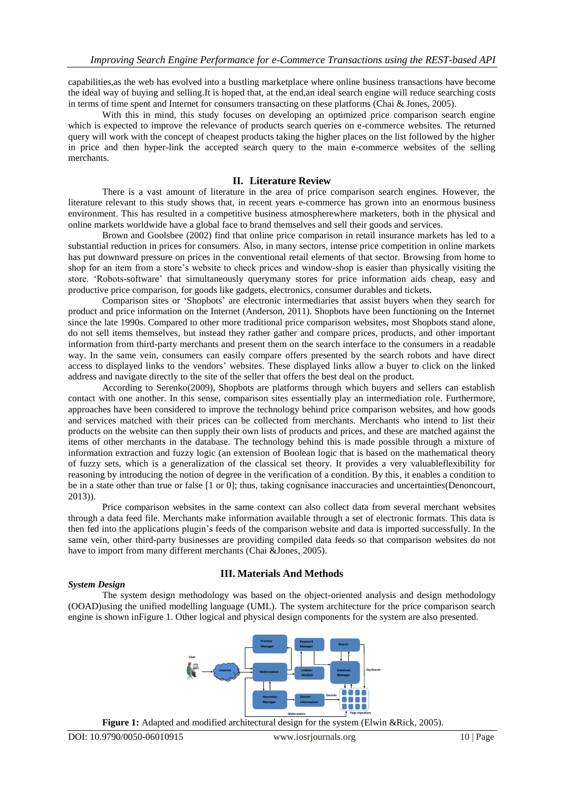capabilities,as the web has evolved into a bustling marketplace where online business transactions have become the ideal way of buying and selling.It is hoped that, at the end,an ideal search engine will reduce searching costs in terms of time spent and Internet for consumers transacting on these platforms (Chai & Jones, 2005).

With this in mind, this study focuses on developing an optimized price comparison search engine which is expected to improve the relevance of products search queries on e-commerce websites. The returned query will work with the concept of cheapest products taking the higher places on the list followed by the higher in price and then hyper-link the accepted search query to the main e-commerce websites of the selling merchants.

# **II. Literature Review**

There is a vast amount of literature in the area of price comparison search engines. However, the literature relevant to this study shows that, in recent years e-commerce has grown into an enormous business environment. This has resulted in a competitive business atmospherewhere marketers, both in the physical and online markets worldwide have a global face to brand themselves and sell their goods and services.

Brown and Goolsbee (2002) find that online price comparison in retail insurance markets has led to a substantial reduction in prices for consumers. Also, in many sectors, intense price competition in online markets has put downward pressure on prices in the conventional retail elements of that sector. Browsing from home to shop for an item from a store"s website to check prices and window-shop is easier than physically visiting the store. "Robots-software" that simultaneously querymany stores for price information aids cheap, easy and productive price comparison, for goods like gadgets, electronics, consumer durables and tickets.

Comparison sites or "Shopbots" are electronic intermediaries that assist buyers when they search for product and price information on the Internet (Anderson, 2011). Shopbots have been functioning on the Internet since the late 1990s. Compared to other more traditional price comparison websites, most Shopbots stand alone, do not sell items themselves, but instead they rather gather and compare prices, products, and other important information from third-party merchants and present them on the search interface to the consumers in a readable way. In the same vein, consumers can easily compare offers presented by the search robots and have direct access to displayed links to the vendors" websites. These displayed links allow a buyer to click on the linked address and navigate directly to the site of the seller that offers the best deal on the product.

According to Serenko(2009), Shopbots are platforms through which buyers and sellers can establish contact with one another. In this sense, comparison sites essentially play an intermediation role. Furthermore, approaches have been considered to improve the technology behind price comparison websites, and how goods and services matched with their prices can be collected from merchants. Merchants who intend to list their products on the website can then supply their own lists of products and prices, and these are matched against the items of other merchants in the database. The technology behind this is made possible through a mixture of information extraction and fuzzy logic (an extension of Boolean logic that is based on the mathematical theory of fuzzy sets, which is a generalization of the classical set theory. It provides a very valuableflexibility for reasoning by introducing the notion of degree in the verification of a condition. By this, it enables a condition to be in a state other than true or false [1 or 0]; thus, taking cognisance inaccuracies and uncertainties(Denoncourt, 2013)).

Price comparison websites in the same context can also collect data from several merchant websites through a data feed file. Merchants make information available through a set of electronic formats. This data is then fed into the applications plugin"s feeds of the comparison website and data is imported successfully. In the same vein, other third-party businesses are providing compiled data feeds so that comparison websites do not have to import from many different merchants (Chai &Jones, 2005).

# **III. Materials And Methods**

# *System Design*

The system design methodology was based on the object-oriented analysis and design methodology (OOAD)using the unified modelling language (UML). The system architecture for the price comparison search engine is shown inFigure 1. Other logical and physical design components for the system are also presented.



**Figure 1:** Adapted and modified architectural design for the system (Elwin &Rick, 2005).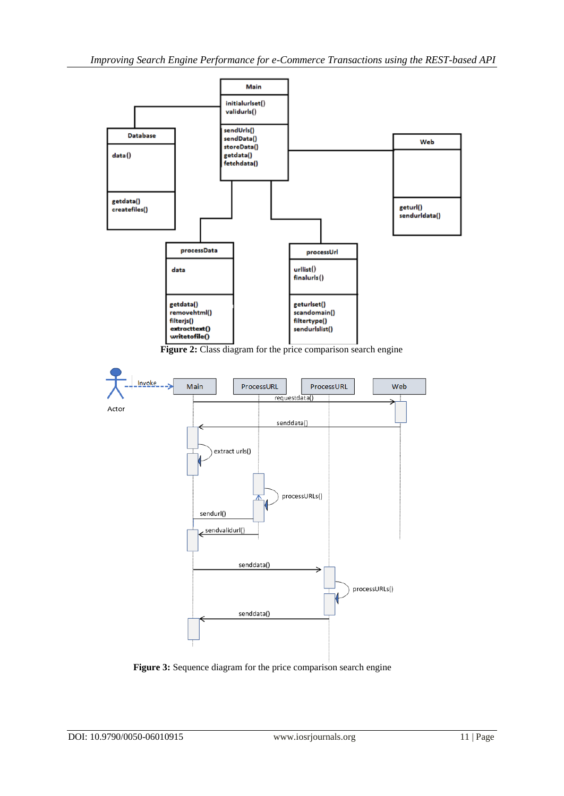

**Figure 2:** Class diagram for the price comparison search engine



**Figure 3:** Sequence diagram for the price comparison search engine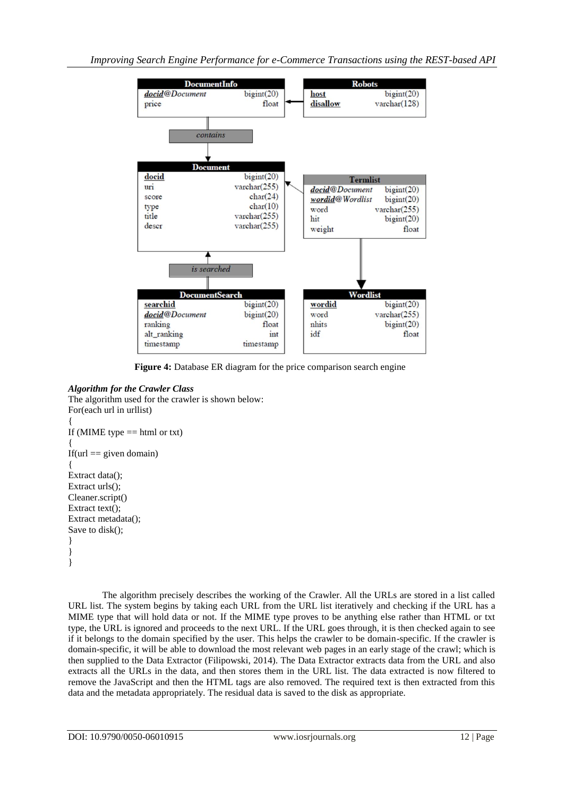

**Figure 4:** Database ER diagram for the price comparison search engine

# *Algorithm for the Crawler Class*

The algorithm used for the crawler is shown below: For(each url in urllist) { If (MIME type  $==$  html or txt) { If(url  $==$  given domain) { Extract data(); Extract urls(); Cleaner.script() Extract text(); Extract metadata(); Save to disk(); } } }

The algorithm precisely describes the working of the Crawler. All the URLs are stored in a list called URL list. The system begins by taking each URL from the URL list iteratively and checking if the URL has a MIME type that will hold data or not. If the MIME type proves to be anything else rather than HTML or txt type, the URL is ignored and proceeds to the next URL. If the URL goes through, it is then checked again to see if it belongs to the domain specified by the user. This helps the crawler to be domain-specific. If the crawler is domain-specific, it will be able to download the most relevant web pages in an early stage of the crawl; which is then supplied to the Data Extractor (Filipowski, 2014). The Data Extractor extracts data from the URL and also extracts all the URLs in the data, and then stores them in the URL list. The data extracted is now filtered to remove the JavaScript and then the HTML tags are also removed. The required text is then extracted from this data and the metadata appropriately. The residual data is saved to the disk as appropriate.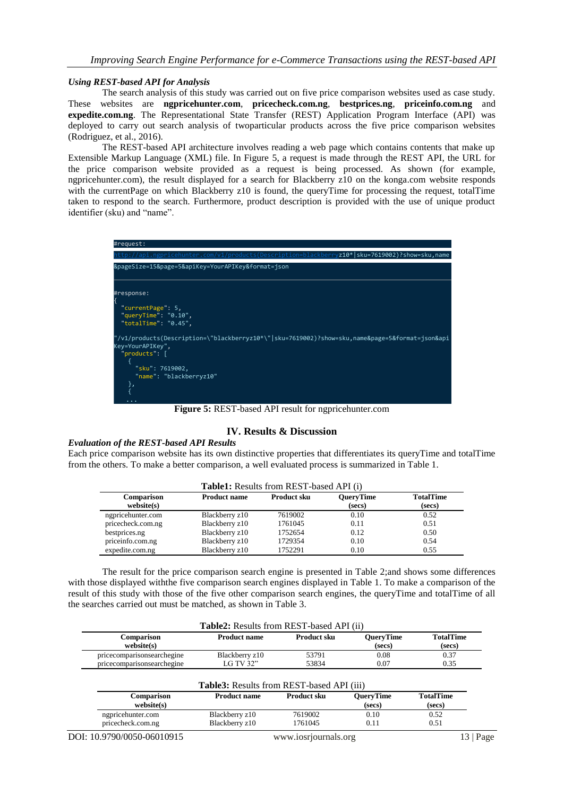#### *Using REST-based API for Analysis*

The search analysis of this study was carried out on five price comparison websites used as case study. These websites are **ngpricehunter.com**, **pricecheck.com.ng**, **bestprices.ng**, **priceinfo.com.ng** and **expedite.com.ng**. The Representational State Transfer (REST) Application Program Interface (API) was deployed to carry out search analysis of twoparticular products across the five price comparison websites (Rodriguez, et al., 2016).

The REST-based API architecture involves reading a web page which contains contents that make up Extensible Markup Language (XML) file. In Figure 5, a request is made through the REST API, the URL for the price comparison website provided as a request is being processed. As shown (for example, ngpricehunter.com), the result displayed for a search for Blackberry z10 on the konga.com website responds with the currentPage on which Blackberry z10 is found, the queryTime for processing the request, totalTime taken to respond to the search. Furthermore, product description is provided with the use of unique product identifier (sku) and "name".



**Figure 5:** REST-based API result for ngpricehunter.com

# **IV. Results & Discussion**

## *Evaluation of the REST-based API Results*

Each price comparison website has its own distinctive properties that differentiates its queryTime and totalTime from the others. To make a better comparison, a well evaluated process is summarized in Table 1.

|                          |                     | <b>Table1:</b> Results from REST-based API (i) |                            |                            |
|--------------------------|---------------------|------------------------------------------------|----------------------------|----------------------------|
| Comparison<br>website(s) | <b>Product name</b> | <b>Product sku</b>                             | <b>QueryTime</b><br>(secs) | <b>TotalTime</b><br>(secs) |
| ngpricehunter.com        | Blackberry z10      | 7619002                                        | 0.10                       | 0.52                       |
| pricecheck.com.ng        | Blackberry z10      | 1761045                                        | 0.11                       | 0.51                       |
| bestprices.ng            | Blackberry z10      | 1752654                                        | 0.12                       | 0.50                       |
| priceinfo.com.ng         | Blackberry z10      | 1729354                                        | 0.10                       | 0.54                       |
| expedite.com.ng          | Blackberry z10      | 1752291                                        | 0.10                       | 0.55                       |

The result for the price comparison search engine is presented in Table 2;and shows some differences with those displayed withthe five comparison search engines displayed in Table 1. To make a comparison of the result of this study with those of the five other comparison search engines, the queryTime and totalTime of all the searches carried out must be matched, as shown in Table 3.

|                                                          | <b>Table2:</b> Results from REST-based API (ii)  |                    |                            |                            |
|----------------------------------------------------------|--------------------------------------------------|--------------------|----------------------------|----------------------------|
| Comparison<br>website(s)                                 | <b>Product name</b>                              | Product sku        | <b>OuervTime</b><br>(secs) | <b>TotalTime</b><br>(secs) |
| pricecomparisonsearchegine<br>pricecomparisonsearchegine | Blackberry z10<br>LG TV 32"                      | 53791<br>53834     | 0.08<br>0.07               | 0.37<br>0.35               |
|                                                          | <b>Table3:</b> Results from REST-based API (iii) |                    |                            |                            |
| Comparison<br>website(s)                                 | <b>Product name</b>                              | <b>Product sku</b> | <b>OuervTime</b><br>(secs) | <b>TotalTime</b><br>(secs) |
| ngpricehunter.com                                        | Blackberry z10                                   | 7619002            | 0.10                       | 0.52                       |

pricecheck.com.ng Blackberry z10 1761045 0.11 0.51

DOI: 10.9790/0050-06010915 www.iosrjournals.org 13 | Page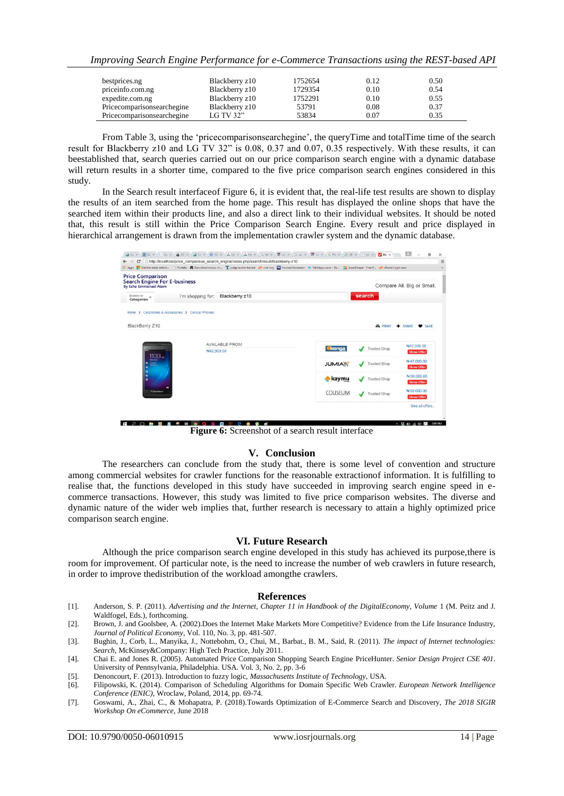*Improving Search Engine Performance for e-Commerce Transactions using the REST-based API*

| bestprices.ng              | Blackberry z10 | 1752654 | 0.12 | 0.50 |
|----------------------------|----------------|---------|------|------|
| priceinfo.com.ng           | Blackberry z10 | 1729354 | 0.10 | 0.54 |
| expedite.com.ng            | Blackberry z10 | 1752291 | 0.10 | 0.55 |
| Pricecomparisonsearchegine | Blackberry z10 | 53791   | 0.08 | 0.37 |
| Pricecomparisonsearchegine | LG TV 32"      | 53834   | 0.07 | 0.35 |

From Table 3, using the 'price comparisonsearchegine', the queryTime and totalTime time of the search result for Blackberry z10 and LG TV 32" is 0.08, 0.37 and 0.07, 0.35 respectively. With these results, it can beestablished that, search queries carried out on our price comparison search engine with a dynamic database will return results in a shorter time, compared to the five price comparison search engines considered in this study.

In the Search result interfaceof Figure 6, it is evident that, the real-life test results are shown to display the results of an item searched from the home page. This result has displayed the online shops that have the searched item within their products line, and also a direct link to their individual websites. It should be noted that, this result is still within the Price Comparison Search Engine. Every result and price displayed in hierarchical arrangement is drawn from the implementation crawler system and the dynamic database.

| <b>Price Comparison</b><br><b>Search Engine For E-business</b><br><b>By Echa Emmanuel Atam</b> |                                                   |                          |                |                     | Compare All. Big or Small.       |
|------------------------------------------------------------------------------------------------|---------------------------------------------------|--------------------------|----------------|---------------------|----------------------------------|
| Browse by<br>Categories                                                                        | I'm shopping for:                                 | search<br>Blackberry z10 |                |                     |                                  |
|                                                                                                | Home > Cellphones & Accessories > Cellular Phones |                          |                |                     |                                  |
| BlackBerry Z10                                                                                 |                                                   |                          |                | <b>B</b> PRINT      | $-$ SHARE<br>SAVE                |
|                                                                                                |                                                   |                          |                |                     |                                  |
| N42,900.00<br>$11:33 -$<br><b>Mark Mark</b><br>$=$<br>H                                        |                                                   | <b>AVAILABLE FROM</b>    | konga          | <b>Trusted Shop</b> | N42,900.00<br><b>Show Offer</b>  |
|                                                                                                |                                                   |                          | <b>JUMIAL</b>  | <b>Trusted Shop</b> | N47.000.00<br><b>Show Offer</b>  |
|                                                                                                |                                                   |                          | kaymu          | <b>Trusted Shop</b> | N 50,000.00<br><b>Show Offer</b> |
| 8.8.8                                                                                          |                                                   |                          |                |                     | N 52,000.00                      |
| <b><i>Gratacellery</i></b>                                                                     | o                                                 |                          | <b>COUSEUM</b> | <b>Trusted Shop</b> | <b>Show Offer</b>                |

**Figure 6:** Screenshot of a search result interface

#### **V. Conclusion**

The researchers can conclude from the study that, there is some level of convention and structure among commercial websites for crawler functions for the reasonable extractionof information. It is fulfilling to realise that, the functions developed in this study have succeeded in improving search engine speed in ecommerce transactions. However, this study was limited to five price comparison websites. The diverse and dynamic nature of the wider web implies that, further research is necessary to attain a highly optimized price comparison search engine.

#### **VI. Future Research**

Although the price comparison search engine developed in this study has achieved its purpose,there is room for improvement. Of particular note, is the need to increase the number of web crawlers in future research, in order to improve thedistribution of the workload amongthe crawlers.

#### **References**

- [1]. Anderson, S. P. (2011). *Advertising and the Internet, Chapter 11 in Handbook of the DigitalEconomy, Volume* 1 (M. Peitz and J. Waldfogel, Eds.), forthcoming.
- [2]. Brown, J. and Goolsbee, A. (2002).Does the Internet Make Markets More Competitive? Evidence from the Life Insurance Industry, *Journal of Political Economy,* Vol. 110, No. 3, pp. 481-507.
- [3]. Bughin, J., Corb, L., Manyika, J., Nottebohm, O., Chui, M., Barbat., B. M., Said, R. (2011). *The impact of Internet technologies: Search*, McKinsey&Company: High Tech Practice, July 2011.
- [4]. Chai E. and Jones R. (2005). Automated Price Comparison Shopping Search Engine PriceHunter. *Senior Design Project CSE 401*. University of Pennsylvania, Philadelphia. USA. Vol. 3, No. 2, pp. 3-6
- [5]. Denoncourt, F. (2013). Introduction to fuzzy logic, *Massachusetts Institute of Technology*, USA.
- [6]. Filipowski, K. (2014). Comparison of Scheduling Algorithms for Domain Specific Web Crawler. *European Network Intelligence Conference (ENIC)*, Wroclaw, Poland, 2014, pp. 69-74.
- [7]. Goswami, A., Zhai, C., & Mohapatra, P. (2018).Towards Optimization of E-Commerce Search and Discovery, *The 2018 SIGIR Workshop On eCommerce*, June 2018